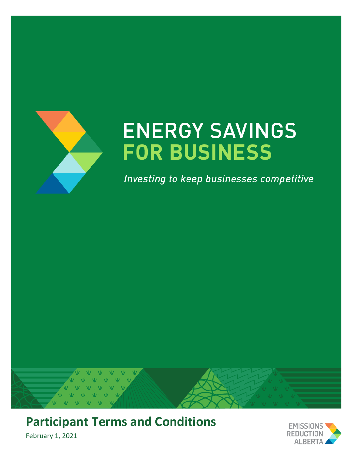

# **ENERGY SAVINGS FOR BUSINESS**

Investing to keep businesses competitive



**Participant Terms and Conditions** 

February 1, 2021

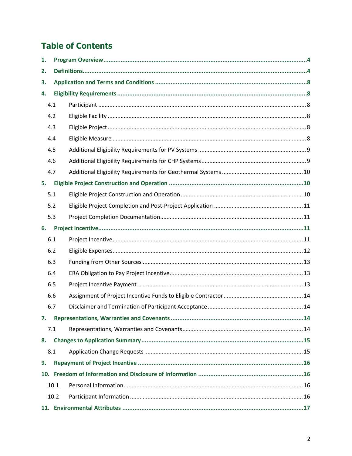# **Table of Contents**

| 1.  |      |  |  |  |  |
|-----|------|--|--|--|--|
| 2.  |      |  |  |  |  |
| 3.  |      |  |  |  |  |
| 4.  |      |  |  |  |  |
|     | 4.1  |  |  |  |  |
| 4.2 |      |  |  |  |  |
| 4.3 |      |  |  |  |  |
| 4.4 |      |  |  |  |  |
| 4.5 |      |  |  |  |  |
|     | 4.6  |  |  |  |  |
|     | 4.7  |  |  |  |  |
| 5.  |      |  |  |  |  |
|     | 5.1  |  |  |  |  |
|     | 5.2  |  |  |  |  |
|     | 5.3  |  |  |  |  |
| 6.  |      |  |  |  |  |
|     | 6.1  |  |  |  |  |
|     | 6.2  |  |  |  |  |
|     | 6.3  |  |  |  |  |
|     | 6.4  |  |  |  |  |
|     | 6.5  |  |  |  |  |
|     | 6.6  |  |  |  |  |
|     | 6.7  |  |  |  |  |
| 7.  |      |  |  |  |  |
|     | 7.1  |  |  |  |  |
| 8.  |      |  |  |  |  |
|     | 8.1  |  |  |  |  |
| 9.  |      |  |  |  |  |
|     |      |  |  |  |  |
|     | 10.1 |  |  |  |  |
|     | 10.2 |  |  |  |  |
|     |      |  |  |  |  |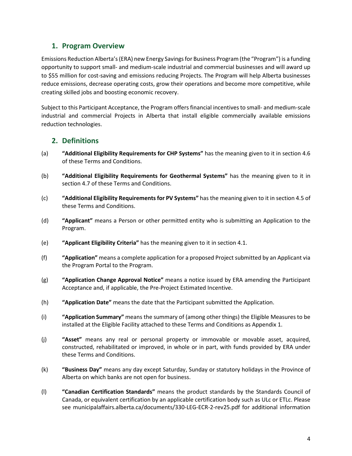# <span id="page-3-0"></span>**1. Program Overview**

Emissions Reduction Alberta's (ERA) new Energy Savings for Business Program (the "Program") is a funding opportunity to support small- and medium-scale industrial and commercial businesses and will award up to \$55 million for cost-saving and emissions reducing Projects. The Program will help Alberta businesses reduce emissions, decrease operating costs, grow their operations and become more competitive, while creating skilled jobs and boosting economic recovery.

Subject to this Participant Acceptance, the Program offers financial incentives to small- and medium-scale industrial and commercial Projects in Alberta that install eligible commercially available emissions reduction technologies.

# <span id="page-3-1"></span>**2. Definitions**

- (a) **"Additional Eligibility Requirements for CHP Systems"** has the meaning given to it in section 4.6 of these Terms and Conditions.
- (b) **"Additional Eligibility Requirements for Geothermal Systems"** has the meaning given to it in section 4.7 of these Terms and Conditions.
- (c) **"Additional Eligibility Requirementsfor PV Systems"** has the meaning given to it in section 4.5 of these Terms and Conditions.
- (d) **"Applicant"** means a Person or other permitted entity who is submitting an Application to the Program.
- (e) **"Applicant Eligibility Criteria"** has the meaning given to it in section 4.1.
- (f) **"Application"** means a complete application for a proposed Project submitted by an Applicant via the Program Portal to the Program.
- (g) **"Application Change Approval Notice"** means a notice issued by ERA amending the Participant Acceptance and, if applicable, the Pre-Project Estimated Incentive.
- (h) **"Application Date"** means the date that the Participant submitted the Application.
- (i) **"Application Summary"** means the summary of (among other things) the Eligible Measures to be installed at the Eligible Facility attached to these Terms and Conditions as Appendix 1.
- (j) **"Asset"** means any real or personal property or immovable or movable asset, acquired, constructed, rehabilitated or improved, in whole or in part, with funds provided by ERA under these Terms and Conditions.
- (k) **"Business Day"** means any day except Saturday, Sunday or statutory holidays in the Province of Alberta on which banks are not open for business.
- (l) **"Canadian Certification Standards"** means the product standards by the Standards Council of Canada, or equivalent certification by an applicable certification body such as ULc or ETLc. Please see municipalaffairs.alberta.ca/documents/330-LEG-ECR-2-rev25.pdf for additional information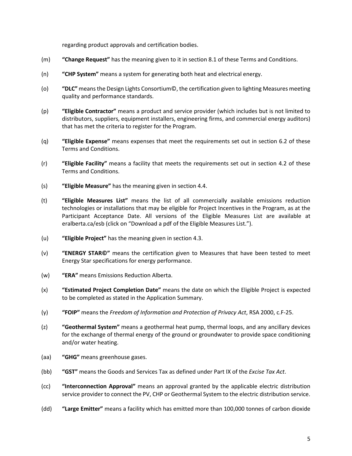regarding product approvals and certification bodies.

- (m) **"Change Request"** has the meaning given to it in section 8.1 of these Terms and Conditions.
- (n) **"CHP System"** means a system for generating both heat and electrical energy.
- (o) **"DLC"** meansthe Design Lights Consortium©, the certification given to lighting Measures meeting quality and performance standards.
- (p) **"Eligible Contractor"** means a product and service provider (which includes but is not limited to distributors, suppliers, equipment installers, engineering firms, and commercial energy auditors) that has met the criteria to register for the Program.
- (q) **"Eligible Expense"** means expenses that meet the requirements set out in section 6.2 of these Terms and Conditions.
- (r) **"Eligible Facility"** means a facility that meets the requirements set out in section 4.2 of these Terms and Conditions.
- (s) **"Eligible Measure"** has the meaning given in section 4.4.
- (t) **"Eligible Measures List"** means the list of all commercially available emissions reduction technologies or installations that may be eligible for Project Incentives in the Program, as at the Participant Acceptance Date. All versions of the Eligible Measures List are available at [eralberta.ca/esb](http://eralberta.ca/energy-savings-for-business/) (click on "Download a pdf of the Eligible Measures List.").
- (u) **"Eligible Project"** has the meaning given in section 4.3.
- (v) **"ENERGY STAR©"** means the certification given to Measures that have been tested to meet Energy Star specifications for energy performance.
- (w) **"ERA"** means Emissions Reduction Alberta.
- (x) **"Estimated Project Completion Date"** means the date on which the Eligible Project is expected to be completed as stated in the Application Summary.
- (y) **"FOIP"** means the *Freedom of Information and Protection of Privacy Act*, RSA 2000, c.F-25.
- (z) **"Geothermal System"** means a geothermal heat pump, thermal loops, and any ancillary devices for the exchange of thermal energy of the ground or groundwater to provide space conditioning and/or water heating.
- (aa) **"GHG"** means greenhouse gases.
- (bb) **"GST"** means the Goods and Services Tax as defined under Part IX of the *Excise Tax Act*.
- (cc) **"Interconnection Approval"** means an approval granted by the applicable electric distribution service provider to connect the PV, CHP or Geothermal System to the electric distribution service.
- (dd) **"Large Emitter"** means a facility which has emitted more than 100,000 tonnes of carbon dioxide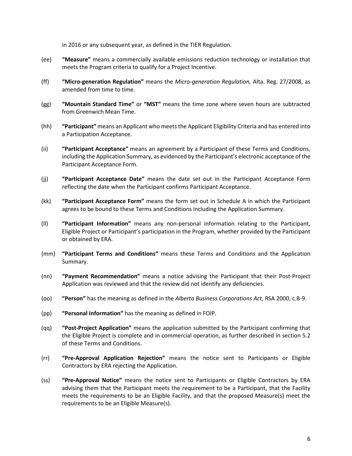in 2016 or any subsequent year, as defined in the TIER Regulation.

- (ee) **"Measure"** means a commercially available emissions reduction technology or installation that meets the Program criteria to qualify for a Project Incentive.
- (ff) **"Micro-generation Regulation"** means the *Micro-generation Regulation,* Alta. Reg. 27/2008, as amended from time to time.
- (gg) **"Mountain Standard Time"** or **"MST"** means the time zone where seven hours are subtracted from Greenwich Mean Time.
- (hh) **"Participant"** means an Applicant who meetsthe Applicant Eligibility Criteria and has entered into a Participation Acceptance.
- (ii) **"Participant Acceptance"** means an agreement by a Participant of these Terms and Conditions, including the Application Summary, as evidenced by the Participant's electronic acceptance of the Participant Acceptance Form.
- (jj) **"Participant Acceptance Date"** means the date set out in the Participant Acceptance Form reflecting the date when the Participant confirms Participant Acceptance.
- (kk) **"Participant Acceptance Form"** means the form set out in Schedule A in which the Participant agrees to be bound to these Terms and Conditions including the Application Summary.
- (ll) **"Participant Information"** means any non-personal information relating to the Participant, Eligible Project or Participant's participation in the Program, whether provided by the Participant or obtained by ERA.
- (mm) **"Participant Terms and Conditions"** means these Terms and Conditions and the Application Summary.
- (nn) **"Payment Recommendation"** means a notice advising the Participant that their Post-Project Application was reviewed and that the review did not identify any deficiencies.
- (oo) **"Person"** has the meaning as defined in the *Alberta Business Corporations Act*, RSA 2000, c.B-9.
- (pp) **"Personal Information"** has the meaning as defined in FOIP.
- (qq) **"Post-Project Application"** means the application submitted by the Participant confirming that the Eligible Project is complete and in commercial operation, as further described in section 5.2 of these Terms and Conditions.
- (rr) **"Pre-Approval Application Rejection"** means the notice sent to Participants or Eligible Contractors by ERA rejecting the Application.
- (ss) **"Pre-Approval Notice"** means the notice sent to Participants or Eligible Contractors by ERA advising them that the Participant meets the requirement to be a Participant, that the Facility meets the requirements to be an Eligible Facility, and that the proposed Measure(s) meet the requirements to be an Eligible Measure(s).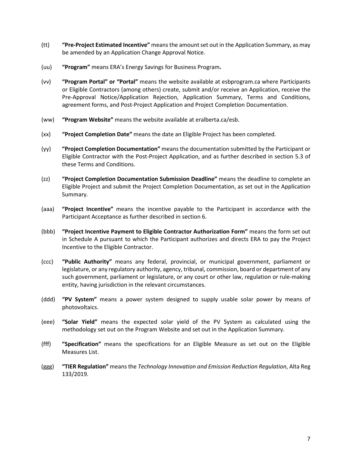- (tt) **"Pre-Project Estimated Incentive"** meansthe amountset out in the Application Summary, as may be amended by an Application Change Approval Notice.
- (uu) **"Program"** means ERA's Energy Savings for Business Program**.**
- (vv) **"Program Portal" or "Portal"** means the website available at [esbprogram.ca](https://esbprogram.ca/) where Participants or Eligible Contractors (among others) create, submit and/or receive an Application, receive the Pre-Approval Notice/Application Rejection, Application Summary, Terms and Conditions, agreement forms, and Post-Project Application and Project Completion Documentation.
- (ww) **"Program Website"** means the website available at [eralberta.ca/esb.](https://eralberta.ca/esb)
- (xx) **"Project Completion Date"** means the date an Eligible Project has been completed.
- (yy) **"Project Completion Documentation"** means the documentation submitted by the Participant or Eligible Contractor with the Post-Project Application, and as further described in section 5.3 of these Terms and Conditions.
- (zz) **"Project Completion Documentation Submission Deadline"** means the deadline to complete an Eligible Project and submit the Project Completion Documentation, as set out in the Application Summary.
- (aaa) **"Project Incentive"** means the incentive payable to the Participant in accordance with the Participant Acceptance as further described in section 6.
- (bbb) **"Project Incentive Payment to Eligible Contractor Authorization Form"** means the form set out in Schedule A pursuant to which the Participant authorizes and directs ERA to pay the Project Incentive to the Eligible Contractor.
- (ccc) **"Public Authority"** means any federal, provincial, or municipal government, parliament or legislature, or any regulatory authority, agency, tribunal, commission, board or department of any such government, parliament or legislature, or any court or other law, regulation or rule-making entity, having jurisdiction in the relevant circumstances.
- (ddd) **"PV System"** means a power system designed to supply usable solar power by means of photovoltaics.
- (eee) **"Solar Yield"** means the expected solar yield of the PV System as calculated using the methodology set out on the Program Website and set out in the Application Summary.
- (fff) **"Specification"** means the specifications for an Eligible Measure as set out on the Eligible Measures List.
- (ggg) **"TIER Regulation"** means the *Technology Innovation and Emission Reduction Regulation*, Alta Reg 133/2019.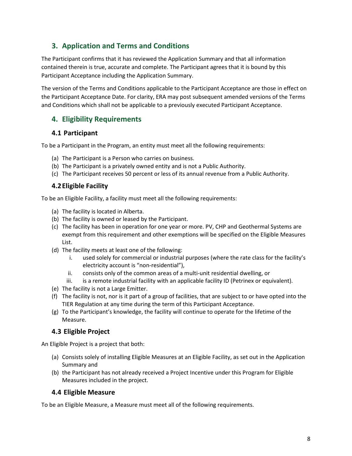# <span id="page-7-0"></span>**3. Application and Terms and Conditions**

The Participant confirms that it has reviewed the Application Summary and that all information contained therein is true, accurate and complete. The Participant agrees that it is bound by this Participant Acceptance including the Application Summary.

The version of the Terms and Conditions applicable to the Participant Acceptance are those in effect on the Participant Acceptance Date. For clarity, ERA may post subsequent amended versions of the Terms and Conditions which shall not be applicable to a previously executed Participant Acceptance.

# <span id="page-7-1"></span>**4. Eligibility Requirements**

#### <span id="page-7-2"></span>**4.1 Participant**

To be a Participant in the Program, an entity must meet all the following requirements:

- (a) The Participant is a Person who carries on business.
- (b) The Participant is a privately owned entity and is not a Public Authority.
- (c) The Participant receives 50 percent or less of its annual revenue from a Public Authority.

#### <span id="page-7-3"></span>**4.2Eligible Facility**

To be an Eligible Facility, a facility must meet all the following requirements:

- (a) The facility is located in Alberta.
- (b) The facility is owned or leased by the Participant.
- (c) The facility has been in operation for one year or more. PV, CHP and Geothermal Systems are exempt from this requirement and other exemptions will be specified on the Eligible Measures List.
- (d) The facility meets at least one of the following:
	- i. used solely for commercial or industrial purposes (where the rate class for the facility's electricity account is "non-residential"),
	- ii. consists only of the common areas of a multi-unit residential dwelling, or
	- iii. is a remote industrial facility with an applicable facility ID (Petrinex or equivalent).
- (e) The facility is not a Large Emitter.
- (f) The facility is not, nor is it part of a group of facilities, that are subject to or have opted into the TIER Regulation at any time during the term of this Participant Acceptance.
- (g) To the Participant's knowledge, the facility will continue to operate for the lifetime of the Measure.

# <span id="page-7-4"></span>**4.3 Eligible Project**

An Eligible Project is a project that both:

- (a) Consists solely of installing Eligible Measures at an Eligible Facility, as set out in the Application Summary and
- (b) the Participant has not already received a Project Incentive under this Program for Eligible Measures included in the project.

# <span id="page-7-5"></span>**4.4 Eligible Measure**

To be an Eligible Measure, a Measure must meet all of the following requirements.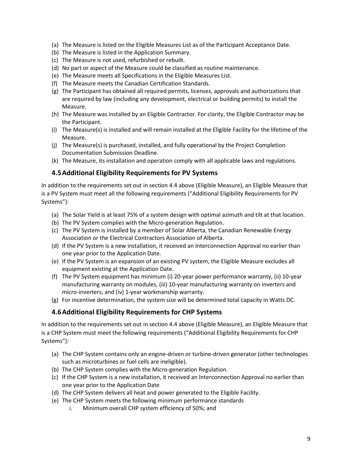- (a) The Measure is listed on the Eligible Measures List as of the Participant Acceptance Date.
- (b) The Measure is listed in the Application Summary.
- (c) The Measure is not used, refurbished or rebuilt.
- (d) No part or aspect of the Measure could be classified as routine maintenance.
- (e) The Measure meets all Specifications in the Eligible Measures List.
- (f) The Measure meets the Canadian Certification Standards.
- (g) The Participant has obtained all required permits, licenses, approvals and authorizations that are required by law (including any development, electrical or building permits) to install the Measure.
- (h) The Measure was installed by an Eligible Contractor. For clarity, the Eligible Contractor may be the Participant.
- (i) The Measure(s) is installed and will remain installed at the Eligible Facility for the lifetime of the Measure.
- (j) The Measure(s) is purchased, installed, and fully operational by the Project Completion Documentation Submission Deadline.
- (k) The Measure, its installation and operation comply with all applicable laws and regulations.

#### <span id="page-8-0"></span>**4.5Additional Eligibility Requirements for PV Systems**

In addition to the requirements set out in section 4.4 above (Eligible Measure), an Eligible Measure that is a PV System must meet all the following requirements ("Additional Eligibility Requirements for PV Systems"):

- (a) The Solar Yield is at least 75% of a system design with optimal azimuth and tilt at that location.
- (b) The PV System complies with the Micro-generation Regulation.
- (c) The PV System is installed by a member of Solar Alberta, the Canadian Renewable Energy Association or the Electrical Contractors Association of Alberta.
- (d) If the PV System is a new installation, it received an Interconnection Approval no earlier than one year prior to the Application Date.
- (e) If the PV System is an expansion of an existing PV system, the Eligible Measure excludes all equipment existing at the Application Date.
- (f) The PV System equipment has minimum (i) 20-year power performance warranty, (ii) 10-year manufacturing warranty on modules, (iii) 10-year manufacturing warranty on inverters and micro-inverters, and (iv) 1-year workmanship warranty.
- (g) For incentive determination, the system size will be determined total capacity in Watts DC.

#### <span id="page-8-1"></span>**4.6Additional Eligibility Requirements for CHP Systems**

In addition to the requirements set out in section 4.4 above (Eligible Measure), an Eligible Measure that is a CHP System must meet the following requirements ("Additional Eligibility Requirements for CHP Systems"):

- (a) The CHP System contains only an engine-driven or turbine-driven generator (other technologies such as microturbines or fuel cells are ineligible).
- (b) The CHP System complies with the Micro-generation Regulation.
- (c) If the CHP System is a new installation, it received an Interconnection Approval no earlier than one year prior to the Application Date
- (d) The CHP System delivers all heat and power generated to the Eligible Facility.
- (e) The CHP System meets the following minimum performance standards
	- i. Minimum overall CHP system efficiency of 50%; and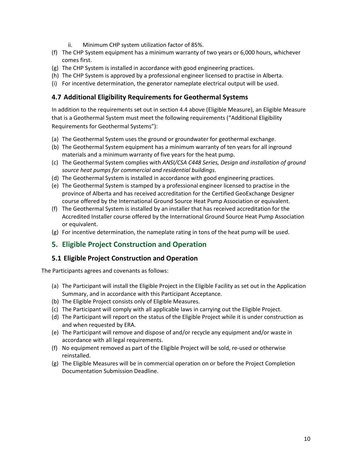- ii. Minimum CHP system utilization factor of 85%.
- (f) The CHP System equipment has a minimum warranty of two years or 6,000 hours, whichever comes first.
- (g) The CHP System is installed in accordance with good engineering practices.
- (h) The CHP System is approved by a professional engineer licensed to practise in Alberta.
- (i) For incentive determination, the generator nameplate electrical output will be used.

#### <span id="page-9-0"></span>**4.7 Additional Eligibility Requirements for Geothermal Systems**

In addition to the requirements set out in section 4.4 above (Eligible Measure), an Eligible Measure that is a Geothermal System must meet the following requirements ("Additional Eligibility Requirements for Geothermal Systems"):

- (a) The Geothermal System uses the ground or groundwater for geothermal exchange.
- (b) The Geothermal System equipment has a minimum warranty of ten years for all inground materials and a minimum warranty of five years for the heat pump.
- (c) The Geothermal System complies with *ANSI/CSA C448 Series, Design and installation of ground source heat pumps for commercial and residential buildings*.
- (d) The Geothermal System is installed in accordance with good engineering practices.
- (e) The Geothermal System is stamped by a professional engineer licensed to practise in the province of Alberta and has received accreditation for the Certified GeoExchange Designer course offered by the International Ground Source Heat Pump Association or equivalent.
- (f) The Geothermal System is installed by an installer that has received accreditation for the Accredited Installer course offered by the International Ground Source Heat Pump Association or equivalent.
- (g) For incentive determination, the nameplate rating in tons of the heat pump will be used.

# <span id="page-9-1"></span>**5. Eligible Project Construction and Operation**

#### <span id="page-9-2"></span>**5.1 Eligible Project Construction and Operation**

The Participants agrees and covenants as follows:

- (a) The Participant will install the Eligible Project in the Eligible Facility as set out in the Application Summary, and in accordance with this Participant Acceptance.
- (b) The Eligible Project consists only of Eligible Measures.
- (c) The Participant will comply with all applicable laws in carrying out the Eligible Project.
- (d) The Participant will report on the status of the Eligible Project while it is under construction as and when requested by ERA.
- (e) The Participant will remove and dispose of and/or recycle any equipment and/or waste in accordance with all legal requirements.
- (f) No equipment removed as part of the Eligible Project will be sold, re-used or otherwise reinstalled.
- (g) The Eligible Measures will be in commercial operation on or before the Project Completion Documentation Submission Deadline.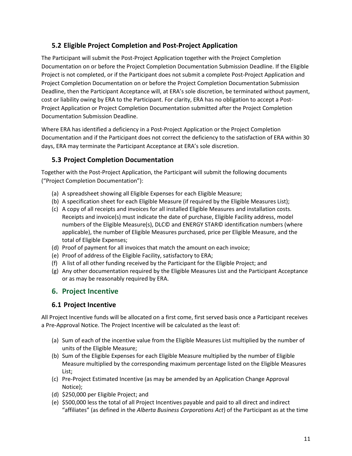# <span id="page-10-0"></span>**5.2 Eligible Project Completion and Post-Project Application**

The Participant will submit the Post-Project Application together with the Project Completion Documentation on or before the Project Completion Documentation Submission Deadline. If the Eligible Project is not completed, or if the Participant does not submit a complete Post-Project Application and Project Completion Documentation on or before the Project Completion Documentation Submission Deadline, then the Participant Acceptance will, at ERA's sole discretion, be terminated without payment, cost or liability owing by ERA to the Participant. For clarity, ERA has no obligation to accept a Post-Project Application or Project Completion Documentation submitted after the Project Completion Documentation Submission Deadline.

Where ERA has identified a deficiency in a Post-Project Application or the Project Completion Documentation and if the Participant does not correct the deficiency to the satisfaction of ERA within 30 days, ERA may terminate the Participant Acceptance at ERA's sole discretion.

#### <span id="page-10-1"></span>**5.3 Project Completion Documentation**

Together with the Post-Project Application, the Participant will submit the following documents ("Project Completion Documentation"):

- (a) A spreadsheet showing all Eligible Expenses for each Eligible Measure;
- (b) A specification sheet for each Eligible Measure (if required by the Eligible Measures List);
- (c) A copy of all receipts and invoices for all installed Eligible Measures and installation costs. Receipts and invoice(s) must indicate the date of purchase, Eligible Facility address, model numbers of the Eligible Measure(s), DLC© and ENERGY STAR© identification numbers (where applicable), the number of Eligible Measures purchased, price per Eligible Measure, and the total of Eligible Expenses;
- (d) Proof of payment for all invoices that match the amount on each invoice;
- (e) Proof of address of the Eligible Facility, satisfactory to ERA;
- (f) A list of all other funding received by the Participant for the Eligible Project; and
- (g) Any other documentation required by the Eligible Measures List and the Participant Acceptance or as may be reasonably required by ERA.

# <span id="page-10-2"></span>**6. Project Incentive**

#### <span id="page-10-3"></span>**6.1 Project Incentive**

All Project Incentive funds will be allocated on a first come, first served basis once a Participant receives a Pre-Approval Notice. The Project Incentive will be calculated as the least of:

- (a) Sum of each of the incentive value from the Eligible Measures List multiplied by the number of units of the Eligible Measure;
- (b) Sum of the Eligible Expenses for each Eligible Measure multiplied by the number of Eligible Measure multiplied by the corresponding maximum percentage listed on the Eligible Measures List;
- (c) Pre-Project Estimated Incentive (as may be amended by an Application Change Approval Notice);
- (d) \$250,000 per Eligible Project; and
- (e) \$500,000 less the total of all Project Incentives payable and paid to all direct and indirect "affiliates" (as defined in the *Alberta Business Corporations Act*) of the Participant as at the time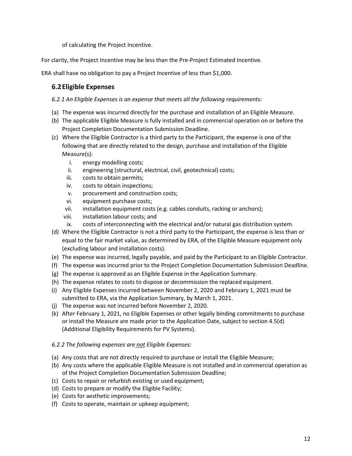of calculating the Project Incentive.

For clarity, the Project Incentive may be less than the Pre-Project Estimated Incentive.

ERA shall have no obligation to pay a Project Incentive of less than \$1,000.

# <span id="page-11-0"></span>**6.2Eligible Expenses**

*6.2.1 An Eligible Expenses is an expense that meets all the following requirements:*

- (a) The expense was incurred directly for the purchase and installation of an Eligible Measure.
- (b) The applicable Eligible Measure is fully installed and in commercial operation on or before the Project Completion Documentation Submission Deadline.
- (c) Where the Eligible Contractor is a third party to the Participant, the expense is one of the following that are directly related to the design, purchase and installation of the Eligible Measure(s):
	- i. energy modelling costs;
	- ii. engineering (structural, electrical, civil, geotechnical) costs;
	- iii. costs to obtain permits;
	- iv. costs to obtain inspections;
	- v. procurement and construction costs;
	- vi. equipment purchase costs;
	- vii. installation equipment costs (e.g. cables conduits, racking or anchors);
	- viii. installation labour costs; and
	- ix. costs of interconnecting with the electrical and/or natural gas distribution system.
- (d) Where the Eligible Contractor is not a third party to the Participant, the expense is less than or equal to the fair market value, as determined by ERA, of the Eligible Measure equipment only (excluding labour and installation costs).
- (e) The expense was incurred, legally payable, and paid by the Participant to an Eligible Contractor.
- (f) The expense was incurred prior to the Project Completion Documentation Submission Deadline.
- (g) The expense is approved as an Eligible Expense in the Application Summary.
- (h) The expense relates to costs to dispose or decommission the replaced equipment.
- (i) Any Eligible Expenses incurred between November 2, 2020 and February 1, 2021 must be submitted to ERA, via the Application Summary, by March 1, 2021.
- (j) The expense was not incurred before November 2, 2020.
- (k) After February 1, 2021, no Eligible Expenses or other legally binding commitments to purchase or install the Measure are made prior to the Application Date, subject to section 4.5(d) (Additional Eligibility Requirements for PV Systems).

#### *6.2.2 The following expenses are not Eligible Expenses:*

- (a) Any costs that are not directly required to purchase or install the Eligible Measure;
- (b) Any costs where the applicable Eligible Measure is not installed and in commercial operation as of the Project Completion Documentation Submission Deadline;
- (c) Costs to repair or refurbish existing or used equipment;
- (d) Costs to prepare or modify the Eligible Facility;
- (e) Costs for aesthetic improvements;
- (f) Costs to operate, maintain or upkeep equipment;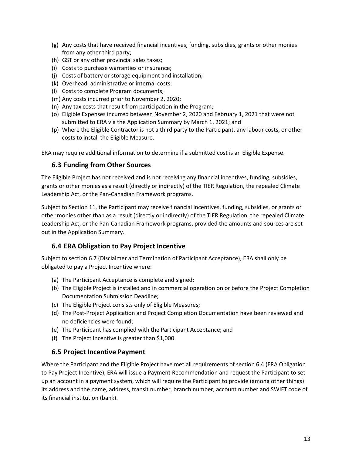- (g) Any costs that have received financial incentives, funding, subsidies, grants or other monies from any other third party;
- (h) GST or any other provincial sales taxes;
- (i) Costs to purchase warranties or insurance;
- (j) Costs of battery or storage equipment and installation;
- (k) Overhead, administrative or internal costs;
- (l) Costs to complete Program documents;
- (m) Any costs incurred prior to November 2, 2020;
- (n) Any tax costs that result from participation in the Program;
- (o) Eligible Expenses incurred between November 2, 2020 and February 1, 2021 that were not submitted to ERA via the Application Summary by March 1, 2021; and
- (p) Where the Eligible Contractor is not a third party to the Participant, any labour costs, or other costs to install the Eligible Measure.

ERA may require additional information to determine if a submitted cost is an Eligible Expense.

#### <span id="page-12-0"></span>**6.3 Funding from Other Sources**

The Eligible Project has not received and is not receiving any financial incentives, funding, subsidies, grants or other monies as a result (directly or indirectly) of the TIER Regulation, the repealed Climate Leadership Act, or the Pan-Canadian Framework programs.

Subject to Section 11, the Participant may receive financial incentives, funding, subsidies, or grants or other monies other than as a result (directly or indirectly) of the TIER Regulation, the repealed Climate Leadership Act, or the Pan-Canadian Framework programs, provided the amounts and sources are set out in the Application Summary.

# <span id="page-12-1"></span>**6.4 ERA Obligation to Pay Project Incentive**

Subject to section 6.7 (Disclaimer and Termination of Participant Acceptance), ERA shall only be obligated to pay a Project Incentive where:

- (a) The Participant Acceptance is complete and signed;
- (b) The Eligible Project is installed and in commercial operation on or before the Project Completion Documentation Submission Deadline;
- (c) The Eligible Project consists only of Eligible Measures;
- (d) The Post-Project Application and Project Completion Documentation have been reviewed and no deficiencies were found;
- (e) The Participant has complied with the Participant Acceptance; and
- (f) The Project Incentive is greater than \$1,000.

#### <span id="page-12-2"></span>**6.5 Project Incentive Payment**

Where the Participant and the Eligible Project have met all requirements of section 6.4 (ERA Obligation to Pay Project Incentive), ERA will issue a Payment Recommendation and request the Participant to set up an account in a payment system, which will require the Participant to provide (among other things) its address and the name, address, transit number, branch number, account number and SWIFT code of its financial institution (bank).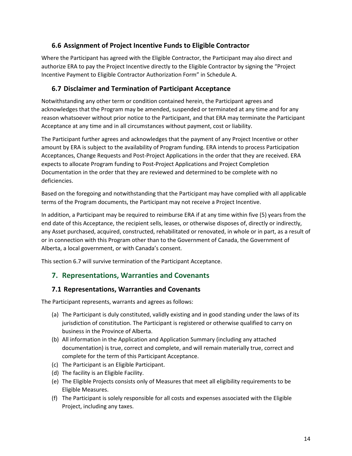#### <span id="page-13-0"></span>**6.6 Assignment of Project Incentive Funds to Eligible Contractor**

Where the Participant has agreed with the Eligible Contractor, the Participant may also direct and authorize ERA to pay the Project Incentive directly to the Eligible Contractor by signing the "Project Incentive Payment to Eligible Contractor Authorization Form" in Schedule A.

#### <span id="page-13-1"></span>**6.7 Disclaimer and Termination of Participant Acceptance**

Notwithstanding any other term or condition contained herein, the Participant agrees and acknowledges that the Program may be amended, suspended or terminated at any time and for any reason whatsoever without prior notice to the Participant, and that ERA may terminate the Participant Acceptance at any time and in all circumstances without payment, cost or liability.

The Participant further agrees and acknowledges that the payment of any Project Incentive or other amount by ERA is subject to the availability of Program funding. ERA intends to process Participation Acceptances, Change Requests and Post-Project Applications in the order that they are received. ERA expects to allocate Program funding to Post-Project Applications and Project Completion Documentation in the order that they are reviewed and determined to be complete with no deficiencies.

Based on the foregoing and notwithstanding that the Participant may have complied with all applicable terms of the Program documents, the Participant may not receive a Project Incentive.

In addition, a Participant may be required to reimburse ERA if at any time within five (5) years from the end date of this Acceptance, the recipient sells, leases, or otherwise disposes of, directly or indirectly, any Asset purchased, acquired, constructed, rehabilitated or renovated, in whole or in part, as a result of or in connection with this Program other than to the Government of Canada, the Government of Alberta, a local government, or with Canada's consent.

This section 6.7 will survive termination of the Participant Acceptance.

# <span id="page-13-2"></span>**7. Representations, Warranties and Covenants**

#### <span id="page-13-3"></span>**7.1 Representations, Warranties and Covenants**

The Participant represents, warrants and agrees as follows:

- (a) The Participant is duly constituted, validly existing and in good standing under the laws of its jurisdiction of constitution. The Participant is registered or otherwise qualified to carry on business in the Province of Alberta.
- (b) All information in the Application and Application Summary (including any attached documentation) is true, correct and complete, and will remain materially true, correct and complete for the term of this Participant Acceptance.
- (c) The Participant is an Eligible Participant.
- (d) The facility is an Eligible Facility.
- (e) The Eligible Projects consists only of Measures that meet all eligibility requirements to be Eligible Measures.
- (f) The Participant is solely responsible for all costs and expenses associated with the Eligible Project, including any taxes.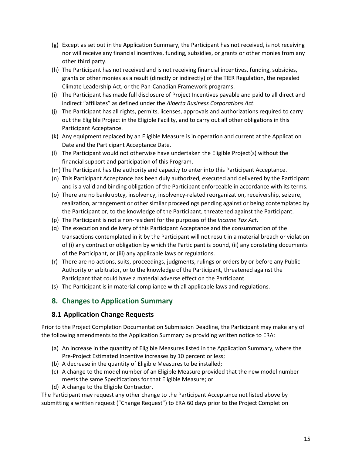- (g) Except as set out in the Application Summary, the Participant has not received, is not receiving nor will receive any financial incentives, funding, subsidies, or grants or other monies from any other third party.
- (h) The Participant has not received and is not receiving financial incentives, funding, subsidies, grants or other monies as a result (directly or indirectly) of the TIER Regulation, the repealed Climate Leadership Act, or the Pan-Canadian Framework programs.
- (i) The Participant has made full disclosure of Project Incentives payable and paid to all direct and indirect "affiliates" as defined under the *Alberta Business Corporations Act*.
- (j) The Participant has all rights, permits, licenses, approvals and authorizations required to carry out the Eligible Project in the Eligible Facility, and to carry out all other obligations in this Participant Acceptance.
- (k) Any equipment replaced by an Eligible Measure is in operation and current at the Application Date and the Participant Acceptance Date.
- (l) The Participant would not otherwise have undertaken the Eligible Project(s) without the financial support and participation of this Program.
- (m) The Participant has the authority and capacity to enter into this Participant Acceptance.
- (n) This Participant Acceptance has been duly authorized, executed and delivered by the Participant and is a valid and binding obligation of the Participant enforceable in accordance with its terms.
- (o) There are no bankruptcy, insolvency, insolvency-related reorganization, receivership, seizure, realization, arrangement or other similar proceedings pending against or being contemplated by the Participant or, to the knowledge of the Participant, threatened against the Participant.
- (p) The Participant is not a non-resident for the purposes of the *Income Tax Act*.
- (q) The execution and delivery of this Participant Acceptance and the consummation of the transactions contemplated in it by the Participant will not result in a material breach or violation of (i) any contract or obligation by which the Participant is bound, (ii) any constating documents of the Participant, or (iii) any applicable laws or regulations.
- (r) There are no actions, suits, proceedings, judgments, rulings or orders by or before any Public Authority or arbitrator, or to the knowledge of the Participant, threatened against the Participant that could have a material adverse effect on the Participant.
- (s) The Participant is in material compliance with all applicable laws and regulations.

# <span id="page-14-0"></span>**8. Changes to Application Summary**

#### <span id="page-14-1"></span>**8.1 Application Change Requests**

Prior to the Project Completion Documentation Submission Deadline, the Participant may make any of the following amendments to the Application Summary by providing written notice to ERA:

- (a) An increase in the quantity of Eligible Measures listed in the Application Summary, where the Pre-Project Estimated Incentive increases by 10 percent or less;
- (b) A decrease in the quantity of Eligible Measures to be installed;
- (c) A change to the model number of an Eligible Measure provided that the new model number meets the same Specifications for that Eligible Measure; or
- (d) A change to the Eligible Contractor.

The Participant may request any other change to the Participant Acceptance not listed above by submitting a written request ("Change Request") to ERA 60 days prior to the Project Completion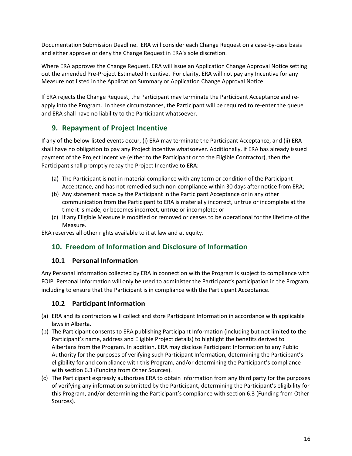Documentation Submission Deadline. ERA will consider each Change Request on a case-by-case basis and either approve or deny the Change Request in ERA's sole discretion.

Where ERA approves the Change Request, ERA will issue an Application Change Approval Notice setting out the amended Pre-Project Estimated Incentive. For clarity, ERA will not pay any Incentive for any Measure not listed in the Application Summary or Application Change Approval Notice.

If ERA rejects the Change Request, the Participant may terminate the Participant Acceptance and reapply into the Program. In these circumstances, the Participant will be required to re-enter the queue and ERA shall have no liability to the Participant whatsoever.

# <span id="page-15-0"></span>**9. Repayment of Project Incentive**

If any of the below-listed events occur, (i) ERA may terminate the Participant Acceptance, and (ii) ERA shall have no obligation to pay any Project Incentive whatsoever. Additionally, if ERA has already issued payment of the Project Incentive (either to the Participant or to the Eligible Contractor), then the Participant shall promptly repay the Project Incentive to ERA:

- (a) The Participant is not in material compliance with any term or condition of the Participant Acceptance, and has not remedied such non-compliance within 30 days after notice from ERA;
- (b) Any statement made by the Participant in the Participant Acceptance or in any other communication from the Participant to ERA is materially incorrect, untrue or incomplete at the time it is made, or becomes incorrect, untrue or incomplete; or
- (c) If any Eligible Measure is modified or removed or ceases to be operational for the lifetime of the Measure.

ERA reserves all other rights available to it at law and at equity.

# <span id="page-15-1"></span>**10. Freedom of Information and Disclosure of Information**

# <span id="page-15-2"></span>**10.1 Personal Information**

Any Personal Information collected by ERA in connection with the Program is subject to compliance with FOIP. Personal Information will only be used to administer the Participant's participation in the Program, including to ensure that the Participant is in compliance with the Participant Acceptance.

# <span id="page-15-3"></span>**10.2 Participant Information**

- (a) ERA and its contractors will collect and store Participant Information in accordance with applicable laws in Alberta.
- (b) The Participant consents to ERA publishing Participant Information (including but not limited to the Participant's name, address and Eligible Project details) to highlight the benefits derived to Albertans from the Program. In addition, ERA may disclose Participant Information to any Public Authority for the purposes of verifying such Participant Information, determining the Participant's eligibility for and compliance with this Program, and/or determining the Participant's compliance with section 6.3 (Funding from Other Sources).
- (c) The Participant expressly authorizes ERA to obtain information from any third party for the purposes of verifying any information submitted by the Participant, determining the Participant's eligibility for this Program, and/or determining the Participant's compliance with section 6.3 (Funding from Other Sources).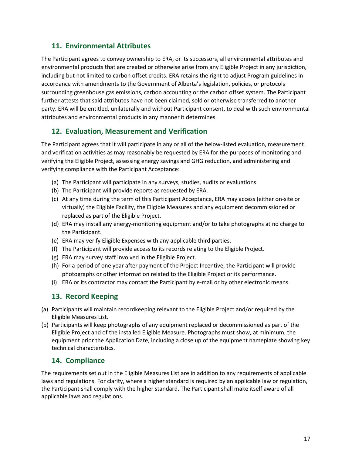# <span id="page-16-0"></span>**11. Environmental Attributes**

The Participant agrees to convey ownership to ERA, or its successors, all environmental attributes and environmental products that are created or otherwise arise from any Eligible Project in any jurisdiction, including but not limited to carbon offset credits. ERA retains the right to adjust Program guidelines in accordance with amendments to the Government of Alberta's legislation, policies, or protocols surrounding greenhouse gas emissions, carbon accounting or the carbon offset system. The Participant further attests that said attributes have not been claimed, sold or otherwise transferred to another party. ERA will be entitled, unilaterally and without Participant consent, to deal with such environmental attributes and environmental products in any manner it determines.

# <span id="page-16-1"></span>**12. Evaluation, Measurement and Verification**

The Participant agrees that it will participate in any or all of the below-listed evaluation, measurement and verification activities as may reasonably be requested by ERA for the purposes of monitoring and verifying the Eligible Project, assessing energy savings and GHG reduction, and administering and verifying compliance with the Participant Acceptance:

- (a) The Participant will participate in any surveys, studies, audits or evaluations.
- (b) The Participant will provide reports as requested by ERA.
- (c) At any time during the term of this Participant Acceptance, ERA may access (either on-site or virtually) the Eligible Facility, the Eligible Measures and any equipment decommissioned or replaced as part of the Eligible Project.
- (d) ERA may install any energy-monitoring equipment and/or to take photographs at no charge to the Participant.
- (e) ERA may verify Eligible Expenses with any applicable third parties.
- (f) The Participant will provide access to its records relating to the Eligible Project.
- (g) ERA may survey staff involved in the Eligible Project.
- (h) For a period of one year after payment of the Project Incentive, the Participant will provide photographs or other information related to the Eligible Project or its performance.
- (i) ERA or its contractor may contact the Participant by e-mail or by other electronic means.

# <span id="page-16-2"></span>**13. Record Keeping**

- (a) Participants will maintain recordkeeping relevant to the Eligible Project and/or required by the Eligible Measures List.
- (b) Participants will keep photographs of any equipment replaced or decommissioned as part of the Eligible Project and of the installed Eligible Measure. Photographs must show, at minimum, the equipment prior the Application Date, including a close up of the equipment nameplate showing key technical characteristics.

# <span id="page-16-3"></span>**14. Compliance**

The requirements set out in the Eligible Measures List are in addition to any requirements of applicable laws and regulations. For clarity, where a higher standard is required by an applicable law or regulation, the Participant shall comply with the higher standard. The Participant shall make itself aware of all applicable laws and regulations.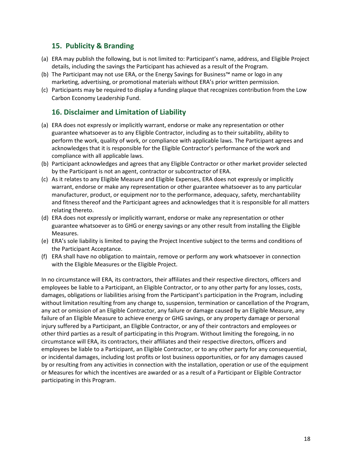# <span id="page-17-0"></span>**15. Publicity & Branding**

- (a) ERA may publish the following, but is not limited to: Participant's name, address, and Eligible Project details, including the savings the Participant has achieved as a result of the Program.
- (b) The Participant may not use ERA, or the Energy Savings for Business™ name or logo in any marketing, advertising, or promotional materials without ERA's prior written permission.
- (c) Participants may be required to display a funding plaque that recognizes contribution from the Low Carbon Economy Leadership Fund.

#### <span id="page-17-1"></span>**16. Disclaimer and Limitation of Liability**

- (a) ERA does not expressly or implicitly warrant, endorse or make any representation or other guarantee whatsoever as to any Eligible Contractor, including as to their suitability, ability to perform the work, quality of work, or compliance with applicable laws. The Participant agrees and acknowledges that it is responsible for the Eligible Contractor's performance of the work and compliance with all applicable laws.
- (b) Participant acknowledges and agrees that any Eligible Contractor or other market provider selected by the Participant is not an agent, contractor or subcontractor of ERA.
- (c) As it relates to any Eligible Measure and Eligible Expenses, ERA does not expressly or implicitly warrant, endorse or make any representation or other guarantee whatsoever as to any particular manufacturer, product, or equipment nor to the performance, adequacy, safety, merchantability and fitness thereof and the Participant agrees and acknowledges that it is responsible for all matters relating thereto.
- (d) ERA does not expressly or implicitly warrant, endorse or make any representation or other guarantee whatsoever as to GHG or energy savings or any other result from installing the Eligible Measures.
- (e) ERA's sole liability is limited to paying the Project Incentive subject to the terms and conditions of the Participant Acceptance.
- (f) ERA shall have no obligation to maintain, remove or perform any work whatsoever in connection with the Eligible Measures or the Eligible Project.

In no circumstance will ERA, its contractors, their affiliates and their respective directors, officers and employees be liable to a Participant, an Eligible Contractor, or to any other party for any losses, costs, damages, obligations or liabilities arising from the Participant's participation in the Program, including without limitation resulting from any change to, suspension, termination or cancellation of the Program, any act or omission of an Eligible Contractor, any failure or damage caused by an Eligible Measure, any failure of an Eligible Measure to achieve energy or GHG savings, or any property damage or personal injury suffered by a Participant, an Eligible Contractor, or any of their contractors and employees or other third parties as a result of participating in this Program. Without limiting the foregoing, in no circumstance will ERA, its contractors, their affiliates and their respective directors, officers and employees be liable to a Participant, an Eligible Contractor, or to any other party for any consequential, or incidental damages, including lost profits or lost business opportunities, or for any damages caused by or resulting from any activities in connection with the installation, operation or use of the equipment or Measures for which the incentives are awarded or as a result of a Participant or Eligible Contractor participating in this Program.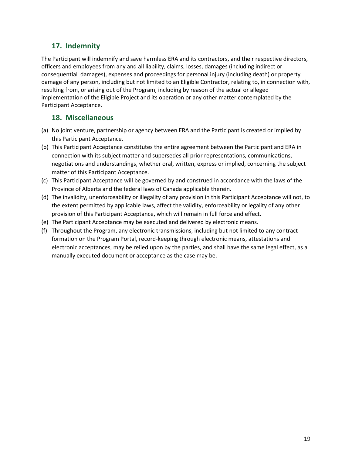# <span id="page-18-0"></span>**17. Indemnity**

The Participant will indemnify and save harmless ERA and its contractors, and their respective directors, officers and employees from any and all liability, claims, losses, damages (including indirect or consequential damages), expenses and proceedings for personal injury (including death) or property damage of any person, including but not limited to an Eligible Contractor, relating to, in connection with, resulting from, or arising out of the Program, including by reason of the actual or alleged implementation of the Eligible Project and its operation or any other matter contemplated by the Participant Acceptance.

# <span id="page-18-1"></span>**18. Miscellaneous**

- (a) No joint venture, partnership or agency between ERA and the Participant is created or implied by this Participant Acceptance.
- (b) This Participant Acceptance constitutes the entire agreement between the Participant and ERA in connection with its subject matter and supersedes all prior representations, communications, negotiations and understandings, whether oral, written, express or implied, concerning the subject matter of this Participant Acceptance.
- (c) This Participant Acceptance will be governed by and construed in accordance with the laws of the Province of Alberta and the federal laws of Canada applicable therein.
- (d) The invalidity, unenforceability or illegality of any provision in this Participant Acceptance will not, to the extent permitted by applicable laws, affect the validity, enforceability or legality of any other provision of this Participant Acceptance, which will remain in full force and effect.
- (e) The Participant Acceptance may be executed and delivered by electronic means.
- (f) Throughout the Program, any electronic transmissions, including but not limited to any contract formation on the Program Portal, record-keeping through electronic means, attestations and electronic acceptances, may be relied upon by the parties, and shall have the same legal effect, as a manually executed document or acceptance as the case may be.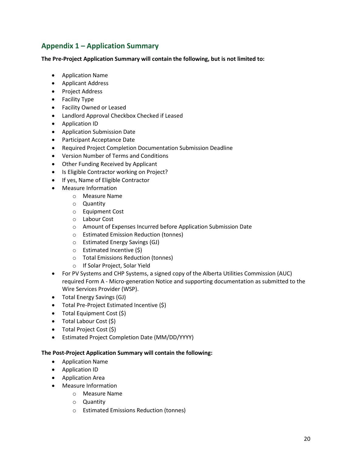# <span id="page-19-0"></span>**Appendix 1 – Application Summary**

**The Pre-Project Application Summary will contain the following, but is not limited to:**

- Application Name
- Applicant Address
- Project Address
- Facility Type
- Facility Owned or Leased
- Landlord Approval Checkbox Checked if Leased
- Application ID
- Application Submission Date
- Participant Acceptance Date
- Required Project Completion Documentation Submission Deadline
- Version Number of Terms and Conditions
- Other Funding Received by Applicant
- Is Eligible Contractor working on Project?
- If yes, Name of Eligible Contractor
- Measure Information
	- o Measure Name
	- o Quantity
	- o Equipment Cost
	- o Labour Cost
	- o Amount of Expenses Incurred before Application Submission Date
	- o Estimated Emission Reduction (tonnes)
	- o Estimated Energy Savings (GJ)
	- o Estimated Incentive (\$)
	- o Total Emissions Reduction (tonnes)
	- o If Solar Project, Solar Yield
- For PV Systems and CHP Systems, a signed copy of the Alberta Utilities Commission (AUC) required Form A - Micro-generation Notice and supporting documentation as submitted to the Wire Services Provider (WSP).
- Total Energy Savings (GJ)
- Total Pre-Project Estimated Incentive (\$)
- Total Equipment Cost (\$)
- Total Labour Cost (\$)
- Total Project Cost (\$)
- Estimated Project Completion Date (MM/DD/YYYY)

#### **The Post-Project Application Summary will contain the following:**

- Application Name
- Application ID
- Application Area
- Measure Information
	- o Measure Name
		- o Quantity
		- o Estimated Emissions Reduction (tonnes)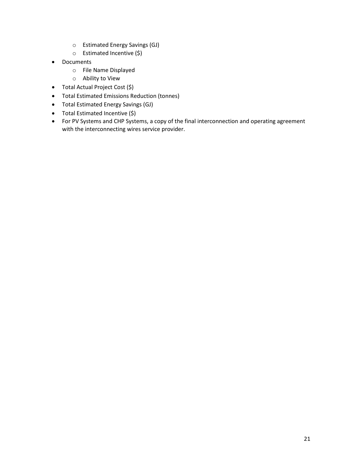- o Estimated Energy Savings (GJ)
- o Estimated Incentive (\$)
- Documents
	- o File Name Displayed
	- o Ability to View
- Total Actual Project Cost (\$)
- Total Estimated Emissions Reduction (tonnes)
- Total Estimated Energy Savings (GJ)
- Total Estimated Incentive (\$)
- For PV Systems and CHP Systems, a copy of the final interconnection and operating agreement with the interconnecting wires service provider.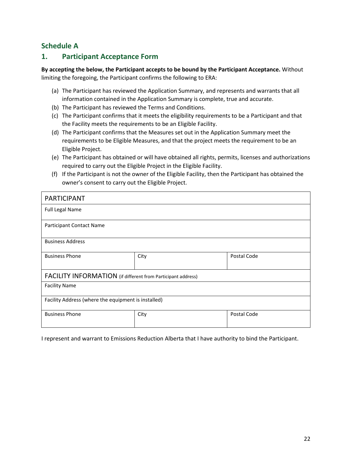# <span id="page-21-0"></span>**Schedule A**

# <span id="page-21-1"></span>**1. Participant Acceptance Form**

**By accepting the below, the Participant accepts to be bound by the Participant Acceptance.** Without limiting the foregoing, the Participant confirms the following to ERA:

- (a) The Participant has reviewed the Application Summary, and represents and warrants that all information contained in the Application Summary is complete, true and accurate.
- (b) The Participant has reviewed the Terms and Conditions.
- (c) The Participant confirms that it meets the eligibility requirements to be a Participant and that the Facility meets the requirements to be an Eligible Facility.
- (d) The Participant confirms that the Measures set out in the Application Summary meet the requirements to be Eligible Measures, and that the project meets the requirement to be an Eligible Project.
- (e) The Participant has obtained or will have obtained all rights, permits, licenses and authorizations required to carry out the Eligible Project in the Eligible Facility.
- (f) If the Participant is not the owner of the Eligible Facility, then the Participant has obtained the owner's consent to carry out the Eligible Project.

| <b>PARTICIPANT</b>                                           |      |             |  |  |  |  |  |  |
|--------------------------------------------------------------|------|-------------|--|--|--|--|--|--|
| <b>Full Legal Name</b>                                       |      |             |  |  |  |  |  |  |
| <b>Participant Contact Name</b>                              |      |             |  |  |  |  |  |  |
| <b>Business Address</b>                                      |      |             |  |  |  |  |  |  |
| <b>Business Phone</b>                                        | City | Postal Code |  |  |  |  |  |  |
| FACILITY INFORMATION (if different from Participant address) |      |             |  |  |  |  |  |  |
| <b>Facility Name</b>                                         |      |             |  |  |  |  |  |  |
| Facility Address (where the equipment is installed)          |      |             |  |  |  |  |  |  |
| <b>Business Phone</b>                                        | City | Postal Code |  |  |  |  |  |  |

I represent and warrant to Emissions Reduction Alberta that I have authority to bind the Participant.